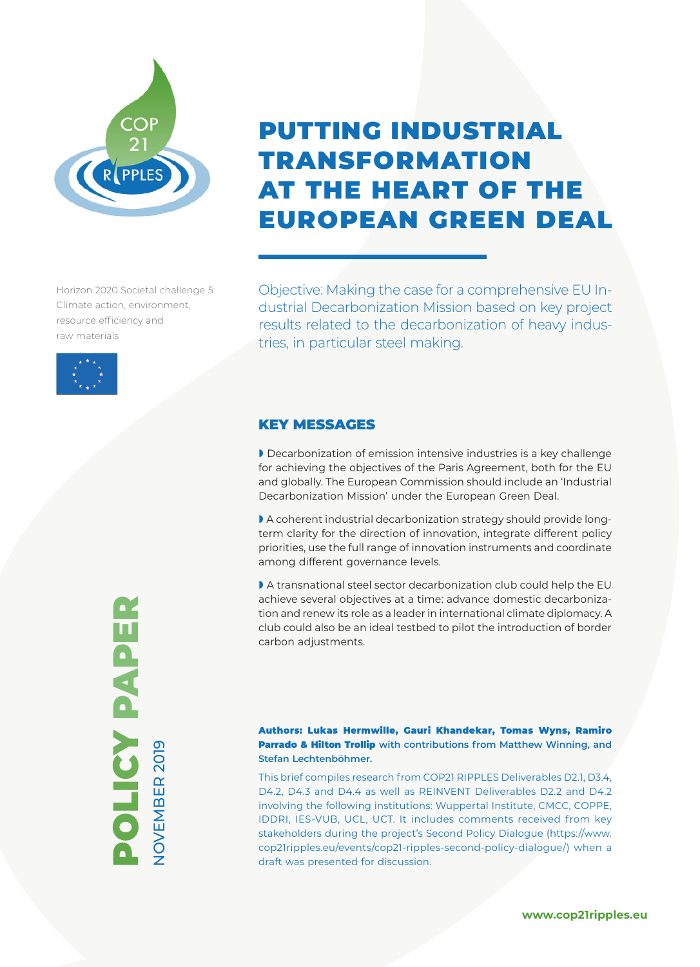

Horizon 2020 Societal challenge 5: Climate action, environment, resource efficiency and raw materials



# PUTTING INDUSTRIAL TRANSFORMATION AT THE HEART OF THE EUROPEAN GREEN DEAL

Objective: Making the case for a comprehensive EU Industrial Decarbonization Mission based on key project results related to the decarbonization of heavy industries, in particular steel making.

## KEY MESSAGES

» Decarbonization of emission intensive industries is a key challenge for achieving the objectives of the Paris Agreement, both for the EU and globally. The European Commission should include an 'Industrial Decarbonization Mission' under the European Green Deal.

» A coherent industrial decarbonization strategy should provide longterm clarity for the direction of innovation, integrate different policy priorities, use the full range of innovation instruments and coordinate among different governance levels.

» A transnational steel sector decarbonization club could help the EU achieve several objectives at a time: advance domestic decarbonization and renew its role as a leader in international climate diplomacy. A club could also be an ideal testbed to pilot the introduction of border carbon adjustments.

### Authors: Lukas Hermwille, Gauri Khandekar, Tomas Wyns, Ramiro Parrado & Hilton Trollip **with contributions from Matthew Winning, and Stefan Lechtenböhmer.**

This brief compiles research from COP21 RIPPLES Deliverables D2.1, D3.4, D4.2, D4.3 and D4.4 as well as REINVENT Deliverables D2.2 and D4.2 involving the following institutions: Wuppertal Institute, CMCC, COPPE, IDDRI, IES-VUB, UCL, UCT. It includes comments received from key stakeholders during the project's Second Policy Dialogue (https://www. cop21ripples.eu/events/cop21-ripples-second-policy-dialogue/) when a draft was presented for discussion.



**www.cop21ripples.eu**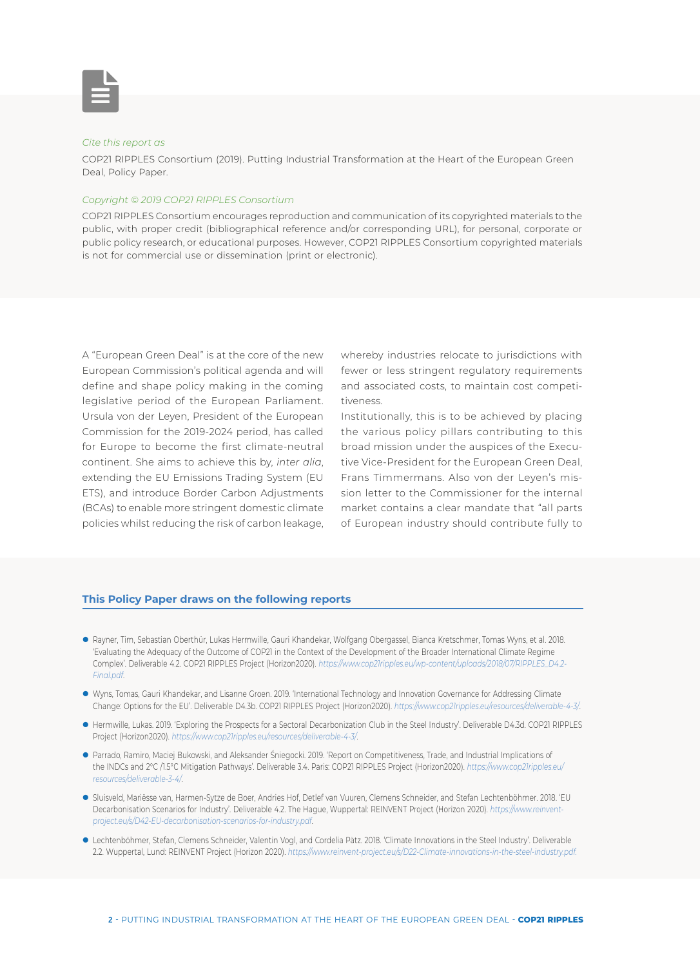

#### *Cite this report as*

COP21 RIPPLES Consortium (2019). Putting Industrial Transformation at the Heart of the European Green Deal, Policy Paper.

#### *Copyright © 2019 COP21 RIPPLES Consortium*

COP21 RIPPLES Consortium encourages reproduction and communication of its copyrighted materials to the public, with proper credit (bibliographical reference and/or corresponding URL), for personal, corporate or public policy research, or educational purposes. However, COP21 RIPPLES Consortium copyrighted materials is not for commercial use or dissemination (print or electronic).

A "European Green Deal" is at the core of the new European Commission's political agenda and will define and shape policy making in the coming legislative period of the European Parliament. Ursula von der Leyen, President of the European Commission for the 2019-2024 period, has called for Europe to become the first climate-neutral continent. She aims to achieve this by, *inter alia*, extending the EU Emissions Trading System (EU ETS), and introduce Border Carbon Adjustments (BCAs) to enable more stringent domestic climate policies whilst reducing the risk of carbon leakage, whereby industries relocate to jurisdictions with fewer or less stringent regulatory requirements and associated costs, to maintain cost competitiveness.

Institutionally, this is to be achieved by placing the various policy pillars contributing to this broad mission under the auspices of the Executive Vice-President for the European Green Deal, Frans Timmermans. Also von der Leyen's mission letter to the Commissioner for the internal market contains a clear mandate that "all parts of European industry should contribute fully to

#### **This Policy Paper draws on the following reports**

- z Rayner, Tim, Sebastian Oberthür, Lukas Hermwille, Gauri Khandekar, Wolfgang Obergassel, Bianca Kretschmer, Tomas Wyns, et al. 2018. 'Evaluating the Adequacy of the Outcome of COP21 in the Context of the Development of the Broader International Climate Regime Complex'. Deliverable 4.2. COP21 RIPPLES Project (Horizon2020). *https://www.cop21ripples.eu/wp-content/uploads/2018/07/RIPPLES\_D4.2- Final.pdf*.
- z Wyns, Tomas, Gauri Khandekar, and Lisanne Groen. 2019. 'International Technology and Innovation Governance for Addressing Climate Change: Options for the EU'. Deliverable D4.3b. COP21 RIPPLES Project (Horizon2020). *https://www.cop21ripples.eu/resources/deliverable-4-3/*.
- z Hermwille, Lukas. 2019. 'Exploring the Prospects for a Sectoral Decarbonization Club in the Steel Industry'. Deliverable D4.3d. COP21 RIPPLES Project (Horizon2020). *https://www.cop21ripples.eu/resources/deliverable-4-3/*.
- z Parrado, Ramiro, Maciej Bukowski, and Aleksander Śniegocki. 2019. 'Report on Competitiveness, Trade, and Industrial Implications of the INDCs and 2°C /1.5°C Mitigation Pathways'. Deliverable 3.4. Paris: COP21 RIPPLES Project (Horizon2020). *https://www.cop21ripples.eu/ resources/deliverable-3-4/*.
- z Sluisveld, Mariësse van, Harmen-Sytze de Boer, Andries Hof, Detlef van Vuuren, Clemens Schneider, and Stefan Lechtenböhmer. 2018. 'EU Decarbonisation Scenarios for Industry'. Deliverable 4.2. The Hague, Wuppertal: REINVENT Project (Horizon 2020). *https://www.reinventproject.eu/s/D42-EU-decarbonisation-scenarios-for-industry.pdf*.
- z Lechtenböhmer, Stefan, Clemens Schneider, Valentin Vogl, and Cordelia Pätz. 2018. 'Climate Innovations in the Steel Industry'. Deliverable 2.2. Wuppertal, Lund: REINVENT Project (Horizon 2020). *https://www.reinvent-project.eu/s/D22-Climate-innovations-in-the-steel-industry.pdf.*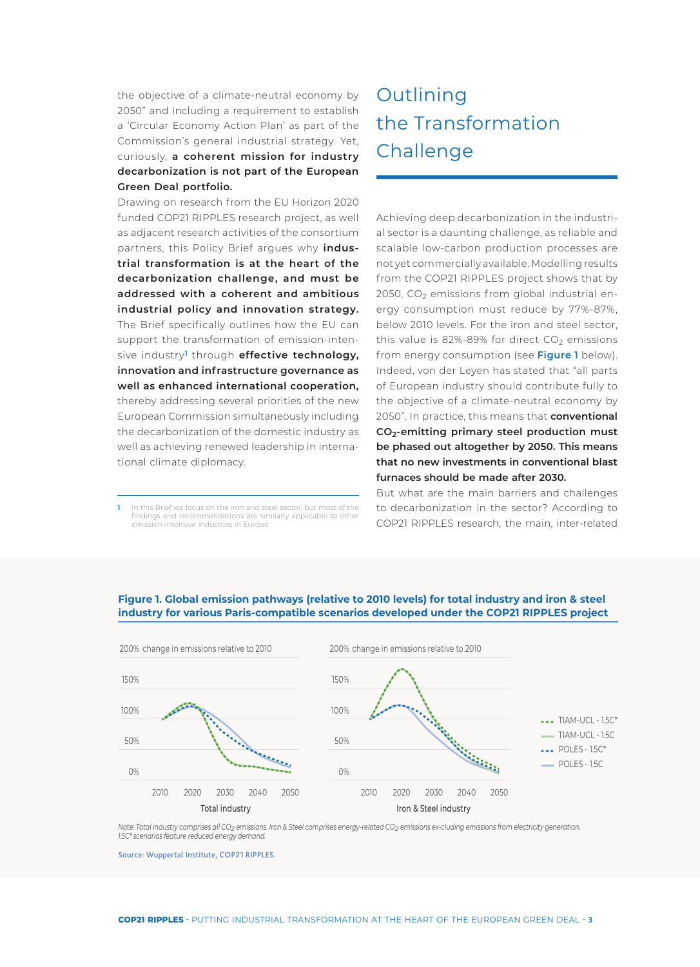the objective of a climate-neutral economy by 2050" and including a requirement to establish a 'Circular Economy Action Plan' as part of the Commission's general industrial strategy. Yet, curiously, **a coherent mission for industry decarbonization is not part of the European Green Deal portfolio.**

Drawing on research from the EU Horizon 2020 funded COP21 RIPPLES research project, as well as adjacent research activities of the consortium partners, this Policy Brief argues why **industrial transformation is at the heart of the decarbonization challenge, and must be addressed with a coherent and ambitious industrial policy and innovation strategy.**  The Brief specifically outlines how the EU can support the transformation of emission-intensive industry**1** through **effective technology, innovation and infrastructure governance as well as enhanced international cooperation,** thereby addressing several priorities of the new European Commission simultaneously including the decarbonization of the domestic industry as well as achieving renewed leadership in international climate diplomacy.

**1** In this Brief we focus on the iron and steel sector, but most of the findings and recommendations are similarly applicable to other emission-intensive industries in Europe.

# **<sup>1</sup>**Outlining the Transformation **Challenge**

Achieving deep decarbonization in the industrial sector is a daunting challenge, as reliable and scalable low-carbon production processes are not yet commercially available. Modelling results from the COP21 RIPPLES project shows that by 2050,  $CO<sub>2</sub>$  emissions from global industrial energy consumption must reduce by 77%-87%, below 2010 levels. For the iron and steel sector, this value is 82%-89% for direct  $CO<sub>2</sub>$  emissions from energy consumption (see **Figure 1** below). Indeed, von der Leyen has stated that "all parts of European industry should contribute fully to the objective of a climate-neutral economy by 2050". In practice, this means that **conventional CO2-emitting primary steel production must be phased out altogether by 2050. This means that no new investments in conventional blast furnaces should be made after 2030.**

But what are the main barriers and challenges to decarbonization in the sector? According to COP21 RIPPLES research, the main, inter-related



### **Figure 1. Global emission pathways (relative to 2010 levels) for total industry and iron & steel industry for various Paris-compatible scenarios developed under the COP21 RIPPLES project**

*Note: Total industry comprises all CO2 emissions. Iron & Steel comprises energy-related CO2 emissions ex-cluding emissions from electricity generation. 1.5C\* scenarios feature reduced energy demand.*

Source: Wuppertal Institute, COP21 RIPPLES.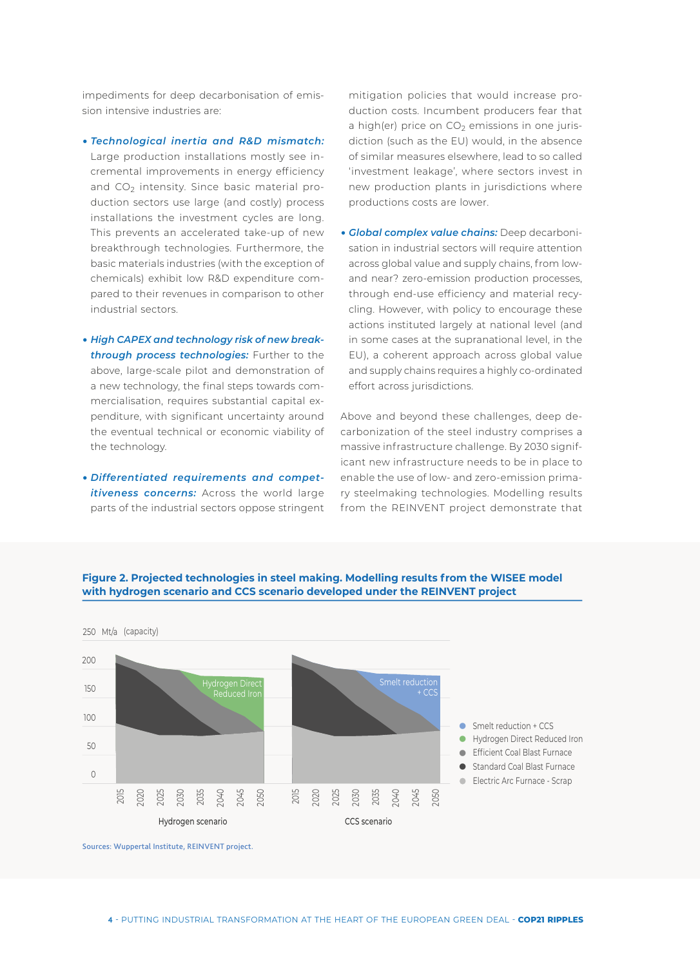impediments for deep decarbonisation of emission intensive industries are:

y *Technological inertia and R&D mismatch:*  Large production installations mostly see incremental improvements in energy efficiency and  $CO<sub>2</sub>$  intensity. Since basic material production sectors use large (and costly) process installations the investment cycles are long. This prevents an accelerated take-up of new breakthrough technologies. Furthermore, the basic materials industries (with the exception of chemicals) exhibit low R&D expenditure compared to their revenues in comparison to other industrial sectors.

- **High CAPEX and technology risk of new break***through process technologies:* Further to the above, large-scale pilot and demonstration of a new technology, the final steps towards commercialisation, requires substantial capital expenditure, with significant uncertainty around the eventual technical or economic viability of the technology.
- y *Differentiated requirements and competitiveness concerns:* Across the world large parts of the industrial sectors oppose stringent

mitigation policies that would increase production costs. Incumbent producers fear that a high(er) price on  $CO<sub>2</sub>$  emissions in one jurisdiction (such as the EU) would, in the absence of similar measures elsewhere, lead to so called 'investment leakage', where sectors invest in new production plants in jurisdictions where productions costs are lower.

**• Global complex value chains:** Deep decarbonisation in industrial sectors will require attention across global value and supply chains, from lowand near? zero-emission production processes, through end-use efficiency and material recycling. However, with policy to encourage these actions instituted largely at national level (and in some cases at the supranational level, in the EU), a coherent approach across global value and supply chains requires a highly co-ordinated effort across jurisdictions.

Above and beyond these challenges, deep decarbonization of the steel industry comprises a massive infrastructure challenge. By 2030 significant new infrastructure needs to be in place to enable the use of low- and zero-emission primary steelmaking technologies. Modelling results from the REINVENT project demonstrate that



**Figure 2. Projected technologies in steel making. Modelling results from the WISEE model with hydrogen scenario and CCS scenario developed under the REINVENT project** 

Sources: Wuppertal Institute, REINVENT project.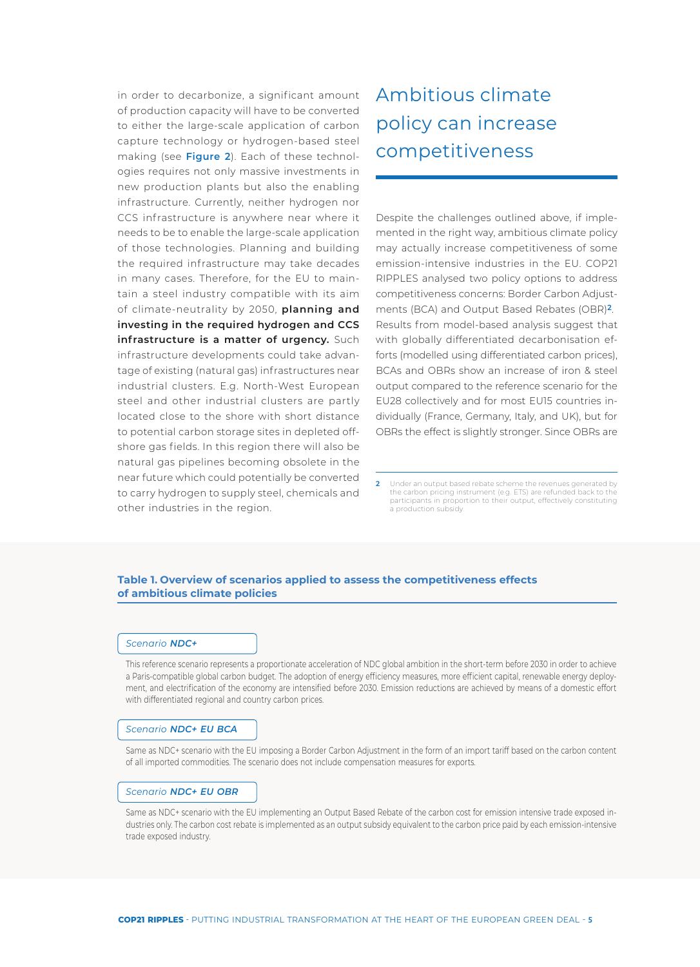in order to decarbonize, a significant amount of production capacity will have to be converted to either the large-scale application of carbon capture technology or hydrogen-based steel making (see **Figure 2**). Each of these technologies requires not only massive investments in new production plants but also the enabling infrastructure. Currently, neither hydrogen nor CCS infrastructure is anywhere near where it needs to be to enable the large-scale application of those technologies. Planning and building the required infrastructure may take decades in many cases. Therefore, for the EU to maintain a steel industry compatible with its aim of climate-neutrality by 2050, **planning and investing in the required hydrogen and CCS infrastructure is a matter of urgency.** Such infrastructure developments could take advantage of existing (natural gas) infrastructures near industrial clusters. E.g. North-West European steel and other industrial clusters are partly located close to the shore with short distance to potential carbon storage sites in depleted offshore gas fields. In this region there will also be natural gas pipelines becoming obsolete in the near future which could potentially be converted to carry hydrogen to supply steel, chemicals and other industries in the region.

# **<sup>2</sup>**Ambitious climate policy can increase competitiveness

Despite the challenges outlined above, if implemented in the right way, ambitious climate policy may actually increase competitiveness of some emission-intensive industries in the EU. COP21 RIPPLES analysed two policy options to address competitiveness concerns: Border Carbon Adjustments (BCA) and Output Based Rebates (OBR)**2**. Results from model-based analysis suggest that with globally differentiated decarbonisation efforts (modelled using differentiated carbon prices), BCAs and OBRs show an increase of iron & steel output compared to the reference scenario for the EU28 collectively and for most EU15 countries individually (France, Germany, Italy, and UK), but for OBRs the effect is slightly stronger. Since OBRs are

### **Table 1. Overview of scenarios applied to assess the competitiveness effects of ambitious climate policies**

#### *Scenario NDC+*

This reference scenario represents a proportionate acceleration of NDC global ambition in the short-term before 2030 in order to achieve a Paris-compatible global carbon budget. The adoption of energy efficiency measures, more efficient capital, renewable energy deployment, and electrification of the economy are intensified before 2030. Emission reductions are achieved by means of a domestic effort with differentiated regional and country carbon prices.

#### *Scenario NDC+ EU BCA*

Same as NDC+ scenario with the EU imposing a Border Carbon Adjustment in the form of an import tariff based on the carbon content of all imported commodities. The scenario does not include compensation measures for exports.

#### *Scenario NDC+ EU OBR*

Same as NDC+ scenario with the EU implementing an Output Based Rebate of the carbon cost for emission intensive trade exposed industries only. The carbon cost rebate is implemented as an output subsidy equivalent to the carbon price paid by each emission-intensive trade exposed industry.

**<sup>2</sup>** Under an output based rebate scheme the revenues generated by the carbon pricing instrument (e.g. ETS) are refunded back to the participants in proportion to their output, effectively constituting a production subsidy.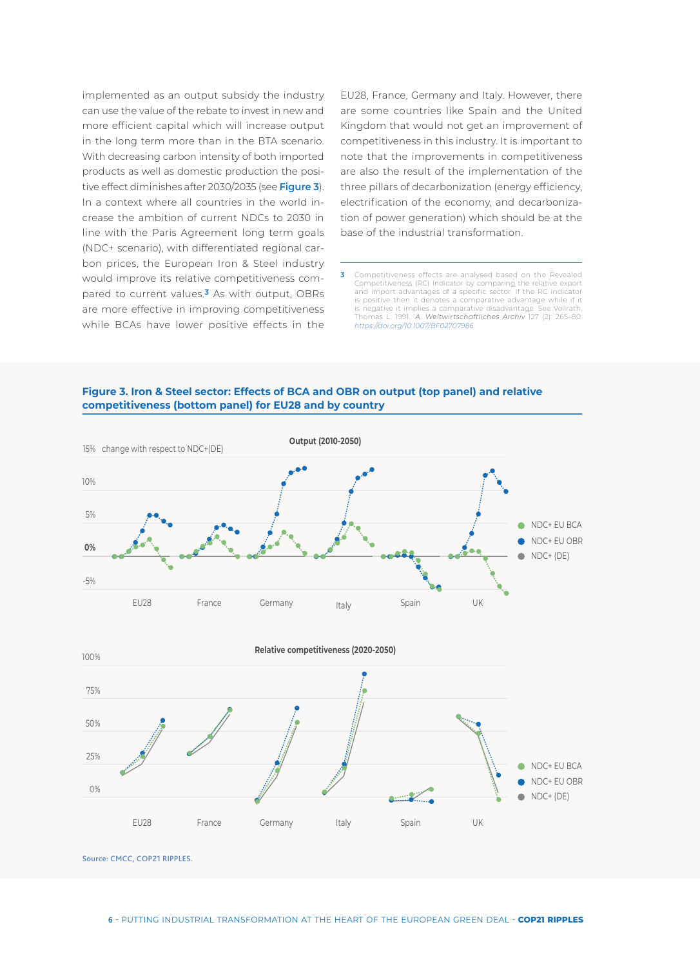implemented as an output subsidy the industry can use the value of the rebate to invest in new and more efficient capital which will increase output in the long term more than in the BTA scenario. With decreasing carbon intensity of both imported products as well as domestic production the positive effect diminishes after 2030/2035 (see **Figure 3**). In a context where all countries in the world increase the ambition of current NDCs to 2030 in line with the Paris Agreement long term goals (NDC+ scenario), with differentiated regional carbon prices, the European Iron & Steel industry would improve its relative competitiveness compared to current values.**3** As with output, OBRs are more effective in improving competitiveness while BCAs have lower positive effects in the

EU28, France, Germany and Italy. However, there are some countries like Spain and the United Kingdom that would not get an improvement of competitiveness in this industry. It is important to note that the improvements in competitiveness are also the result of the implementation of the three pillars of decarbonization (energy efficiency, electrification of the economy, and decarbonization of power generation) which should be at the base of the industrial transformation.

**3** Competitiveness effects are analysed based on the Revealed Competitiveness (RC) Indicator by comparing the relative export and import advantages of a specific sector. If the RC indicator is positive then it denotes a comparative advantage while if it is negative it implies a comparative disadvantage. See Vollrath, Thomas L. 1991. '*A. Weltwirtschaftliches Archiv* 127 (2): 265–80. *https://doi.org/10.1007/BF02707986*.

**Figure 3. Iron & Steel sector: Effects of BCA and OBR on output (top panel) and relative competitiveness (bottom panel) for EU28 and by country** 



Source: CMCC, COP21 RIPPLES.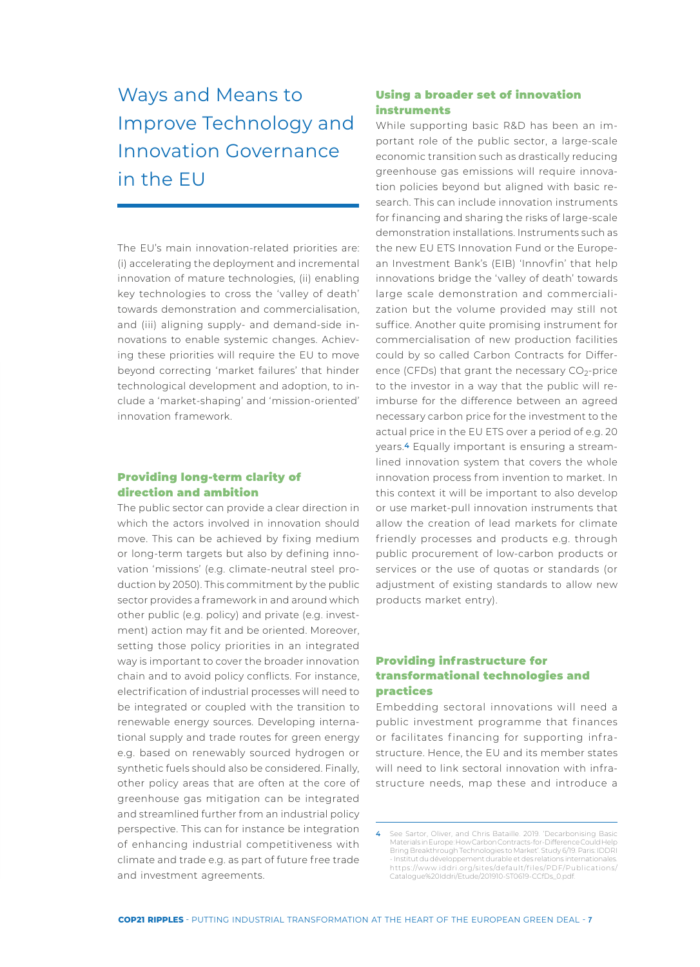# **<sup>3</sup>**Ways and Means to Improve Technology and Innovation Governance in the EU

The EU's main innovation-related priorities are: (i) accelerating the deployment and incremental innovation of mature technologies, (ii) enabling key technologies to cross the 'valley of death' towards demonstration and commercialisation, and (iii) aligning supply- and demand-side innovations to enable systemic changes. Achieving these priorities will require the EU to move beyond correcting 'market failures' that hinder technological development and adoption, to include a 'market-shaping' and 'mission-oriented' innovation framework.

### Providing long-term clarity of direction and ambition

The public sector can provide a clear direction in which the actors involved in innovation should move. This can be achieved by fixing medium or long-term targets but also by defining innovation 'missions' (e.g. climate-neutral steel production by 2050). This commitment by the public sector provides a framework in and around which other public (e.g. policy) and private (e.g. investment) action may fit and be oriented. Moreover, setting those policy priorities in an integrated way is important to cover the broader innovation chain and to avoid policy conflicts. For instance, electrification of industrial processes will need to be integrated or coupled with the transition to renewable energy sources. Developing international supply and trade routes for green energy e.g. based on renewably sourced hydrogen or synthetic fuels should also be considered. Finally, other policy areas that are often at the core of greenhouse gas mitigation can be integrated and streamlined further from an industrial policy perspective. This can for instance be integration of enhancing industrial competitiveness with climate and trade e.g. as part of future free trade and investment agreements.

## Using a broader set of innovation instruments

While supporting basic R&D has been an important role of the public sector, a large-scale economic transition such as drastically reducing greenhouse gas emissions will require innovation policies beyond but aligned with basic research. This can include innovation instruments for financing and sharing the risks of large-scale demonstration installations. Instruments such as the new EU ETS Innovation Fund or the European Investment Bank's (EIB) 'Innovfin' that help innovations bridge the 'valley of death' towards large scale demonstration and commercialization but the volume provided may still not suffice. Another quite promising instrument for commercialisation of new production facilities could by so called Carbon Contracts for Difference (CFDs) that grant the necessary  $CO<sub>2</sub>$ -price to the investor in a way that the public will reimburse for the difference between an agreed necessary carbon price for the investment to the actual price in the EU ETS over a period of e.g. 20 years.**4** Equally important is ensuring a streamlined innovation system that covers the whole innovation process from invention to market. In this context it will be important to also develop or use market-pull innovation instruments that allow the creation of lead markets for climate friendly processes and products e.g. through public procurement of low-carbon products or services or the use of quotas or standards (or adjustment of existing standards to allow new products market entry).

## Providing infrastructure for transformational technologies and practices

Embedding sectoral innovations will need a public investment programme that finances or facilitates financing for supporting infrastructure. Hence, the EU and its member states will need to link sectoral innovation with infrastructure needs, map these and introduce a

**<sup>4</sup>** See Sartor, Oliver, and Chris Bataille. 2019. 'Decarbonising Basic Materials in Europe: How Carbon Contracts-for-Difference Could Help Bring Breakthrough Technologies to Market'. Study 6/19. Paris: IDDRI - Institut du développement durable et des relations internationales. https://www.iddri.org/sites/default/f iles/PDF/Publications/ Catalogue%20Iddri/Etude/201910-ST0619-CCfDs\_0.pdf.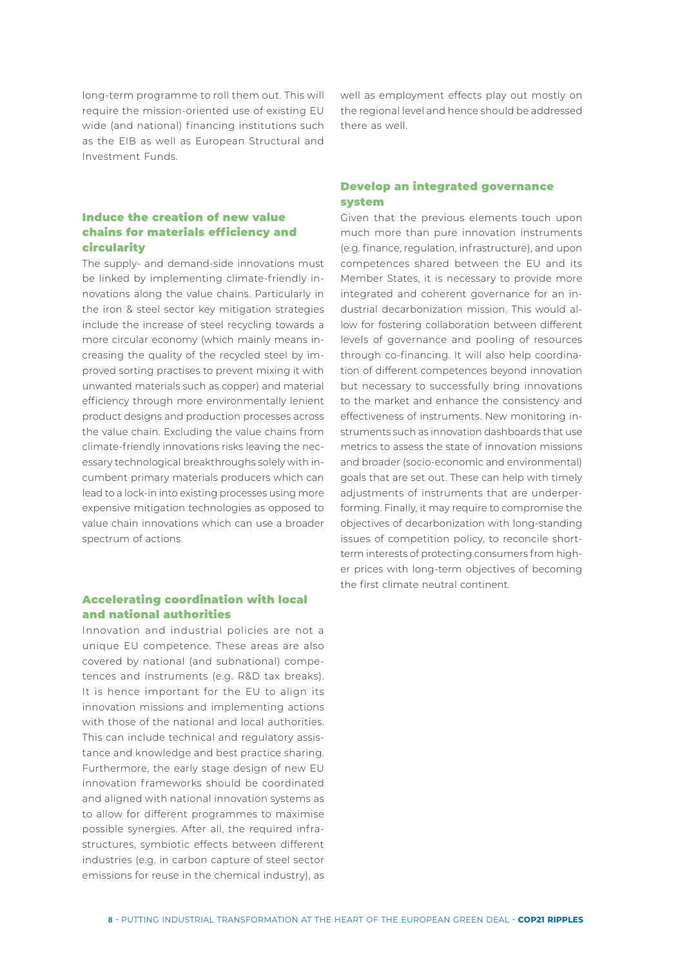long-term programme to roll them out. This will require the mission-oriented use of existing EU wide (and national) financing institutions such as the EIB as well as European Structural and Investment Funds.

## Induce the creation of new value chains for materials efficiency and circularity

The supply- and demand-side innovations must be linked by implementing climate-friendly innovations along the value chains. Particularly in the iron & steel sector key mitigation strategies include the increase of steel recycling towards a more circular economy (which mainly means increasing the quality of the recycled steel by improved sorting practises to prevent mixing it with unwanted materials such as copper) and material efficiency through more environmentally lenient product designs and production processes across the value chain. Excluding the value chains from climate-friendly innovations risks leaving the necessary technological breakthroughs solely with incumbent primary materials producers which can lead to a lock-in into existing processes using more expensive mitigation technologies as opposed to value chain innovations which can use a broader spectrum of actions.

## Accelerating coordination with local and national authorities

Innovation and industrial policies are not a unique EU competence. These areas are also covered by national (and subnational) competences and instruments (e.g. R&D tax breaks). It is hence important for the EU to align its innovation missions and implementing actions with those of the national and local authorities. This can include technical and regulatory assistance and knowledge and best practice sharing. Furthermore, the early stage design of new EU innovation frameworks should be coordinated and aligned with national innovation systems as to allow for different programmes to maximise possible synergies. After all, the required infrastructures, symbiotic effects between different industries (e.g. in carbon capture of steel sector emissions for reuse in the chemical industry), as

well as employment effects play out mostly on the regional level and hence should be addressed there as well.

### Develop an integrated governance system

Given that the previous elements touch upon much more than pure innovation instruments (e.g. finance, regulation, infrastructure), and upon competences shared between the EU and its Member States, it is necessary to provide more integrated and coherent governance for an industrial decarbonization mission. This would allow for fostering collaboration between different levels of governance and pooling of resources through co-financing. It will also help coordination of different competences beyond innovation but necessary to successfully bring innovations to the market and enhance the consistency and effectiveness of instruments. New monitoring instruments such as innovation dashboards that use metrics to assess the state of innovation missions and broader (socio-economic and environmental) goals that are set out. These can help with timely adjustments of instruments that are underperforming. Finally, it may require to compromise the objectives of decarbonization with long-standing issues of competition policy, to reconcile shortterm interests of protecting consumers from higher prices with long-term objectives of becoming the first climate neutral continent.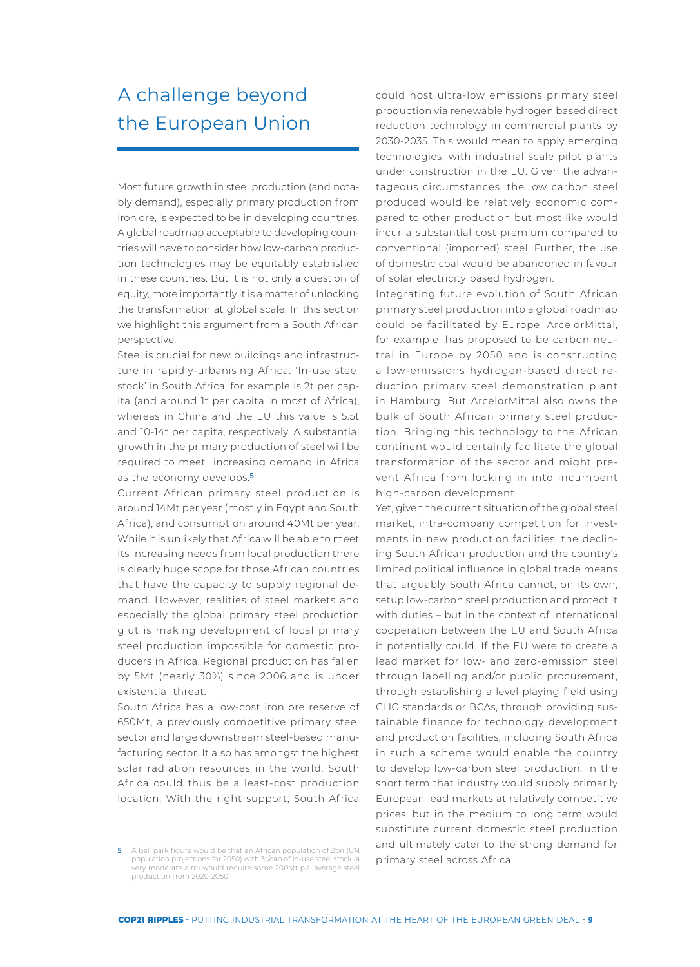# **<sup>4</sup>**A challenge beyond the European Union

Most future growth in steel production (and notably demand), especially primary production from iron ore, is expected to be in developing countries. A global roadmap acceptable to developing countries will have to consider how low-carbon production technologies may be equitably established in these countries. But it is not only a question of equity, more importantly it is a matter of unlocking the transformation at global scale. In this section we highlight this argument from a South African perspective.

Steel is crucial for new buildings and infrastructure in rapidly-urbanising Af rica. 'In-use steel stock' in South Africa, for example is 2t per capita (and around 1t per capita in most of Africa), whereas in China and the EU this value is 5.5t and 10-14t per capita, respectively. A substantial growth in the primary production of steel will be required to meet increasing demand in Africa as the economy develops.**5**

Current African primary steel production is around 14Mt per year (mostly in Egypt and South Africa), and consumption around 40Mt per year. While it is unlikely that Africa will be able to meet its increasing needs from local production there is clearly huge scope for those African countries that have the capacity to supply regional demand. However, realities of steel markets and especially the global primary steel production glut is making development of local primary steel production impossible for domestic producers in Africa. Regional production has fallen by 5Mt (nearly 30%) since 2006 and is under existential threat.

South Africa has a low-cost iron ore reserve of 650Mt, a previously competitive primary steel sector and large downstream steel-based manufacturing sector. It also has amongst the highest solar radiation resources in the world. South Africa could thus be a least-cost production location. With the right support, South Africa

**5** A ball park figure would be that an African population of 2bn (UN population projections for 2050) with 3t/cap of in-use steel stock (a very moderate aim) would require some 200Mt p.a. average steel production from 2020-2050.

could host ultra-low emissions primary steel production via renewable hydrogen based direct reduction technology in commercial plants by 2030-2035. This would mean to apply emerging technologies, with industrial scale pilot plants under construction in the EU. Given the advantageous circumstances, the low carbon steel produced would be relatively economic compared to other production but most like would incur a substantial cost premium compared to conventional (imported) steel. Further, the use of domestic coal would be abandoned in favour of solar electricity based hydrogen.

Integrating future evolution of South African primary steel production into a global roadmap could be facilitated by Europe. ArcelorMittal, for example, has proposed to be carbon neutral in Europe by 2050 and is constructing a low-emissions hydrogen-based direct reduction primary steel demonstration plant in Hamburg. But ArcelorMittal also owns the bulk of South African primary steel production. Bringing this technology to the African continent would certainly facilitate the global transformation of the sector and might prevent Africa from locking in into incumbent high-carbon development.

Yet, given the current situation of the global steel market, intra-company competition for investments in new production facilities, the declining South African production and the country's limited political influence in global trade means that arguably South Africa cannot, on its own, setup low-carbon steel production and protect it with duties – but in the context of international cooperation between the EU and South Africa it potentially could. If the EU were to create a lead market for low- and zero-emission steel through labelling and/or public procurement, through establishing a level playing field using GHG standards or BCAs, through providing sustainable finance for technology development and production facilities, including South Africa in such a scheme would enable the country to develop low-carbon steel production. In the short term that industry would supply primarily European lead markets at relatively competitive prices, but in the medium to long term would substitute current domestic steel production and ultimately cater to the strong demand for primary steel across Africa.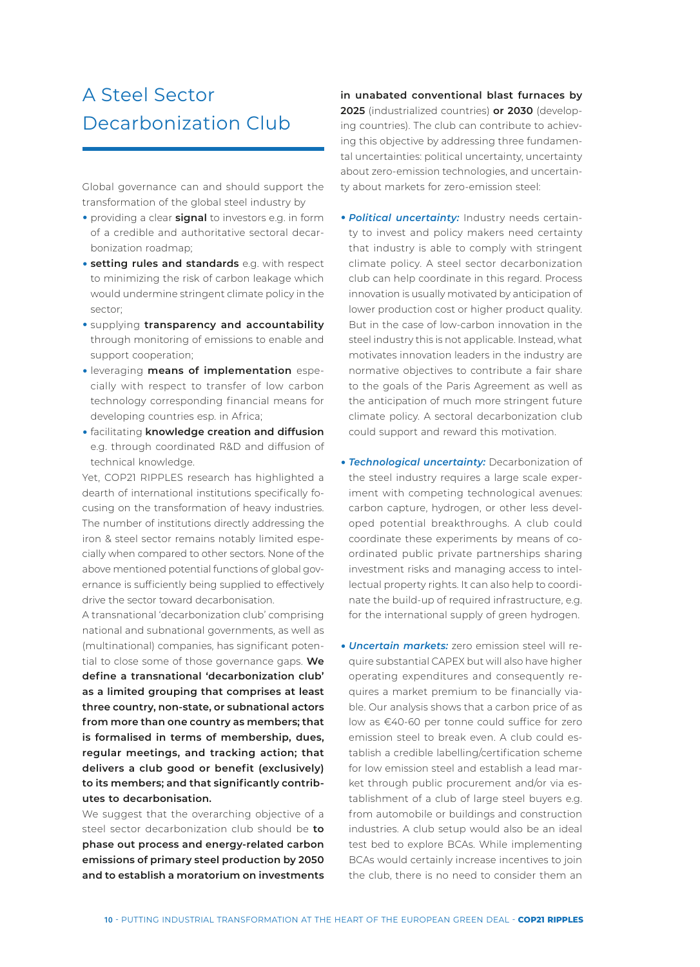# **<sup>5</sup>**A Steel Sector Decarbonization Club

Global governance can and should support the transformation of the global steel industry by

- **•** providing a clear **signal** to investors e.g. in form of a credible and authoritative sectoral decarbonization roadmap;
- **setting rules and standards** e.g. with respect to minimizing the risk of carbon leakage which would undermine stringent climate policy in the sector;
- y supplying **transparency and accountability** through monitoring of emissions to enable and support cooperation;
- y leveraging **means of implementation** especially with respect to transfer of low carbon technology corresponding financial means for developing countries esp. in Africa;
- y facilitating **knowledge creation and diffusion** e.g. through coordinated R&D and diffusion of technical knowledge.

Yet, COP21 RIPPLES research has highlighted a dearth of international institutions specifically focusing on the transformation of heavy industries. The number of institutions directly addressing the iron & steel sector remains notably limited especially when compared to other sectors. None of the above mentioned potential functions of global governance is sufficiently being supplied to effectively drive the sector toward decarbonisation.

A transnational 'decarbonization club' comprising national and subnational governments, as well as (multinational) companies, has significant potential to close some of those governance gaps. **We define a transnational 'decarbonization club' as a limited grouping that comprises at least three country, non-state, or subnational actors from more than one country as members; that is formalised in terms of membership, dues, regular meetings, and tracking action; that delivers a club good or benefit (exclusively) to its members; and that significantly contributes to decarbonisation.**

We suggest that the overarching objective of a steel sector decarbonization club should be **to phase out process and energy-related carbon emissions of primary steel production by 2050 and to establish a moratorium on investments**  **in unabated conventional blast furnaces by 2025** (industrialized countries) **or 2030** (developing countries). The club can contribute to achieving this objective by addressing three fundamental uncertainties: political uncertainty, uncertainty about zero-emission technologies, and uncertainty about markets for zero-emission steel:

- **Political uncertainty:** Industry needs certainty to invest and policy makers need certainty that industry is able to comply with stringent climate policy. A steel sector decarbonization club can help coordinate in this regard. Process innovation is usually motivated by anticipation of lower production cost or higher product quality. But in the case of low-carbon innovation in the steel industry this is not applicable. Instead, what motivates innovation leaders in the industry are normative objectives to contribute a fair share to the goals of the Paris Agreement as well as the anticipation of much more stringent future climate policy. A sectoral decarbonization club could support and reward this motivation.
- **Technological uncertainty:** Decarbonization of the steel industry requires a large scale experiment with competing technological avenues: carbon capture, hydrogen, or other less developed potential breakthroughs. A club could coordinate these experiments by means of coordinated public private partnerships sharing investment risks and managing access to intellectual property rights. It can also help to coordinate the build-up of required infrastructure, e.g. for the international supply of green hydrogen.
- *Uncertain markets:* zero emission steel will require substantial CAPEX but will also have higher operating expenditures and consequently requires a market premium to be financially viable. Our analysis shows that a carbon price of as low as €40-60 per tonne could suffice for zero emission steel to break even. A club could establish a credible labelling/certification scheme for low emission steel and establish a lead market through public procurement and/or via establishment of a club of large steel buyers e.g. from automobile or buildings and construction industries. A club setup would also be an ideal test bed to explore BCAs. While implementing BCAs would certainly increase incentives to join the club, there is no need to consider them an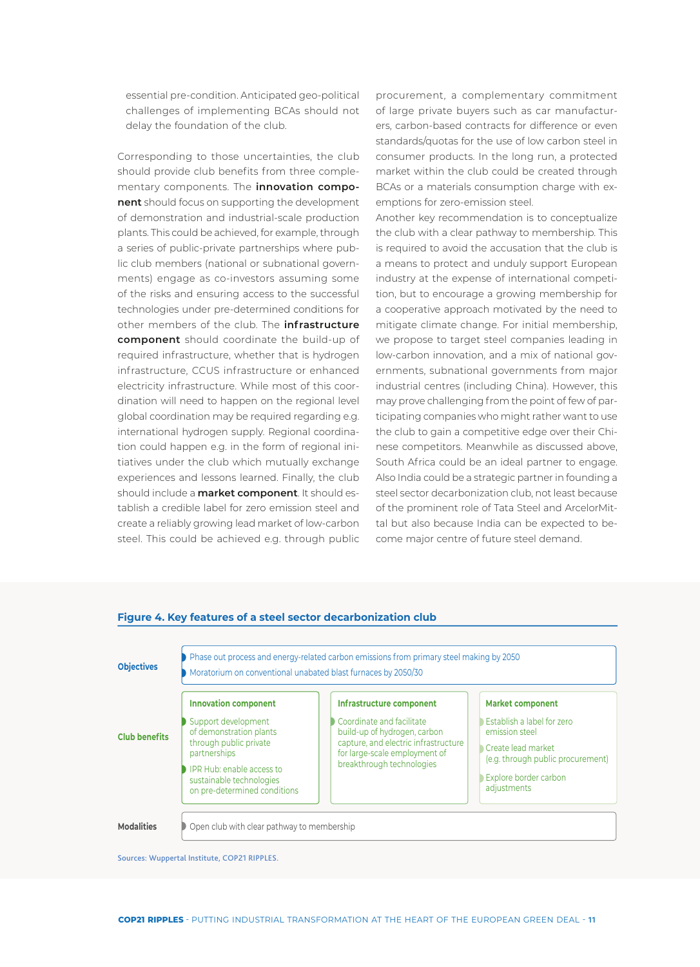essential pre-condition. Anticipated geo-political challenges of implementing BCAs should not delay the foundation of the club.

Corresponding to those uncertainties, the club should provide club benefits from three complementary components. The **innovation component** should focus on supporting the development of demonstration and industrial-scale production plants. This could be achieved, for example, through a series of public-private partnerships where public club members (national or subnational governments) engage as co-investors assuming some of the risks and ensuring access to the successful technologies under pre-determined conditions for other members of the club. The **infrastructure component** should coordinate the build-up of required infrastructure, whether that is hydrogen infrastructure, CCUS infrastructure or enhanced electricity infrastructure. While most of this coordination will need to happen on the regional level global coordination may be required regarding e.g. international hydrogen supply. Regional coordination could happen e.g. in the form of regional initiatives under the club which mutually exchange experiences and lessons learned. Finally, the club should include a **market component**. It should establish a credible label for zero emission steel and create a reliably growing lead market of low-carbon steel. This could be achieved e.g. through public

procurement, a complementary commitment of large private buyers such as car manufacturers, carbon-based contracts for difference or even standards/quotas for the use of low carbon steel in consumer products. In the long run, a protected market within the club could be created through BCAs or a materials consumption charge with exemptions for zero-emission steel.

Another key recommendation is to conceptualize the club with a clear pathway to membership. This is required to avoid the accusation that the club is a means to protect and unduly support European industry at the expense of international competition, but to encourage a growing membership for a cooperative approach motivated by the need to mitigate climate change. For initial membership, we propose to target steel companies leading in low-carbon innovation, and a mix of national governments, subnational governments from major industrial centres (including China). However, this may prove challenging from the point of few of participating companies who might rather want to use the club to gain a competitive edge over their Chinese competitors. Meanwhile as discussed above, South Africa could be an ideal partner to engage. Also India could be a strategic partner in founding a steel sector decarbonization club, not least because of the prominent role of Tata Steel and ArcelorMittal but also because India can be expected to become major centre of future steel demand.



#### **Figure 4. Key features of a steel sector decarbonization club**

Sources: Wuppertal Institute, COP21 RIPPLES.